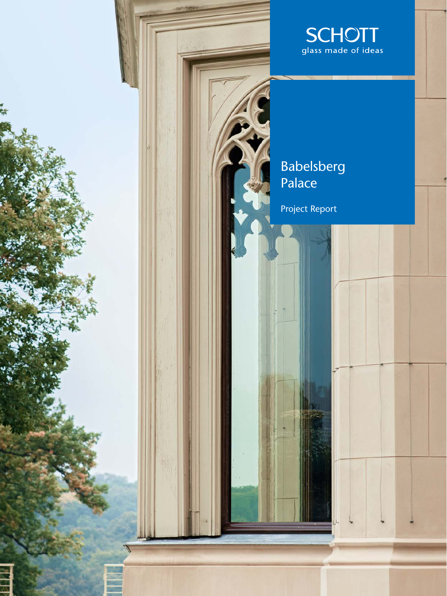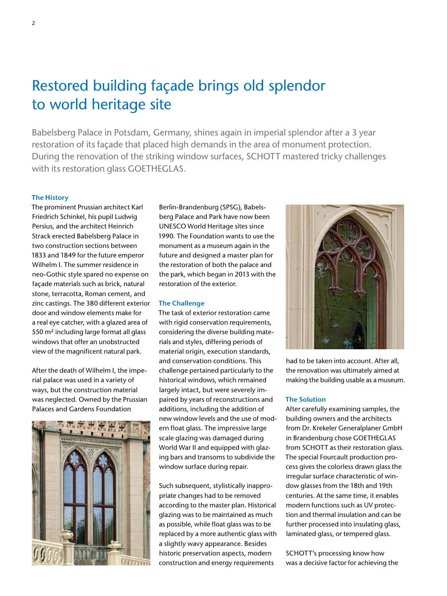# Restored building façade brings old splendor to world heritage site

Babelsberg Palace in Potsdam, Germany, shines again in imperial splendor after a 3 year restoration of its façade that placed high demands in the area of monument protection. During the renovation of the striking window surfaces, SCHOTT mastered tricky challenges with its restoration glass GOETHEGLAS.

### **The History**

The prominent Prussian architect Karl Friedrich Schinkel, his pupil Ludwig Persius, and the architect Heinrich Strack erected Babelsberg Palace in two construction sections between 1833 and 1849 for the future emperor Wilhelm I. The summer residence in neo-Gothic style spared no expense on façade materials such as brick, natural stone, terracotta, Roman cement, and zinc castings. The 380 different exterior door and window elements make for a real eye catcher, with a glazed area of 550 m² including large format all glass windows that offer an unobstructed view of the magnificent natural park.

After the death of Wilhelm I, the imperial palace was used in a variety of ways, but the construction material was neglected. Owned by the Prussian Palaces and Gardens Foundation



Berlin-Brandenburg (SPSG), Babelsberg Palace and Park have now been UNESCO World Heritage sites since 1990. The Foundation wants to use the monument as a museum again in the future and designed a master plan for the restoration of both the palace and the park, which began in 2013 with the restoration of the exterior.

#### **The Challenge**

The task of exterior restoration came with rigid conservation requirements, considering the diverse building materials and styles, differing periods of material origin, execution standards, and conservation conditions. This challenge pertained particularly to the historical windows, which remained largely intact, but were severely impaired by years of reconstructions and additions, including the addition of new window levels and the use of modern float glass. The impressive large scale glazing was damaged during World War II and equipped with glazing bars and transoms to subdivide the window surface during repair.

Such subsequent, stylistically inappropriate changes had to be removed according to the master plan. Historical glazing was to be maintained as much as possible, while float glass was to be replaced by a more authentic glass with a slightly wavy appearance. Besides historic preservation aspects, modern construction and energy requirements



had to be taken into account. After all, the renovation was ultimately aimed at making the building usable as a museum.

## **The Solution**

After carefully examining samples, the building owners and the architects from Dr. Krekeler Generalplaner GmbH in Brandenburg chose GOETHEGLAS from SCHOTT as their restoration glass. The special Fourcault production process gives the colorless drawn glass the irregular surface characteristic of window glasses from the 18th and 19th centuries. At the same time, it enables modern functions such as UV protection and thermal insulation and can be further processed into insulating glass, laminated glass, or tempered glass.

SCHOTT's processing know how was a decisive factor for achieving the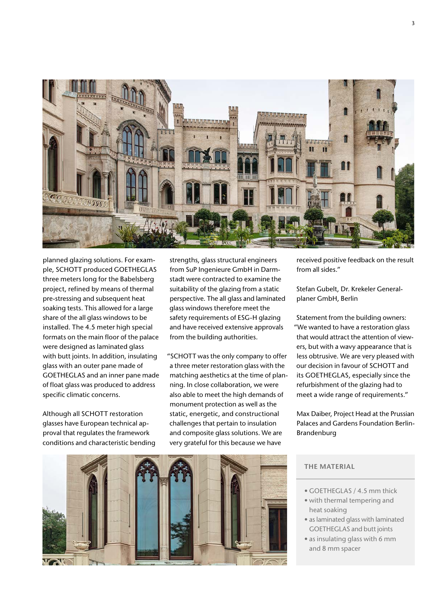

planned glazing solutions. For example, SCHOTT produced GOETHEGLAS three meters long for the Babelsberg project, refined by means of thermal pre-stressing and subsequent heat soaking tests. This allowed for a large share of the all glass windows to be installed. The 4.5 meter high special formats on the main floor of the palace were designed as laminated glass with butt joints. In addition, insulating glass with an outer pane made of GOETHEGLAS and an inner pane made of float glass was produced to address specific climatic concerns.

Although all SCHOTT restoration glasses have European technical approval that regulates the framework conditions and characteristic bending strengths, glass structural engineers from SuP Ingenieure GmbH in Darmstadt were contracted to examine the suitability of the glazing from a static perspective. The all glass and laminated glass windows therefore meet the safety requirements of ESG-H glazing and have received extensive approvals from the building authorities.

"SCHOTT was the only company to offer a three meter restoration glass with the matching aesthetics at the time of planning. In close collaboration, we were also able to meet the high demands of monument protection as well as the static, energetic, and constructional challenges that pertain to insulation and composite glass solutions. We are very grateful for this because we have

received positive feedback on the result from all sides."

Stefan Gubelt, Dr. Krekeler Generalplaner GmbH, Berlin

Statement from the building owners: "We wanted to have a restoration glass that would attract the attention of viewers, but with a wavy appearance that is less obtrusive. We are very pleased with our decision in favour of SCHOTT and its GOETHEGLAS, especially since the refurbishment of the glazing had to meet a wide range of requirements."

Max Daiber, Project Head at the Prussian Palaces and Gardens Foundation Berlin-Brandenburg



# **THE MATERIAL**

- GOETHEGLAS / 4.5 mm thick
- with thermal tempering and heat soaking
- as laminated glass with laminated GOETHEGLAS and butt joints
- as insulating glass with 6 mm and 8 mm spacer